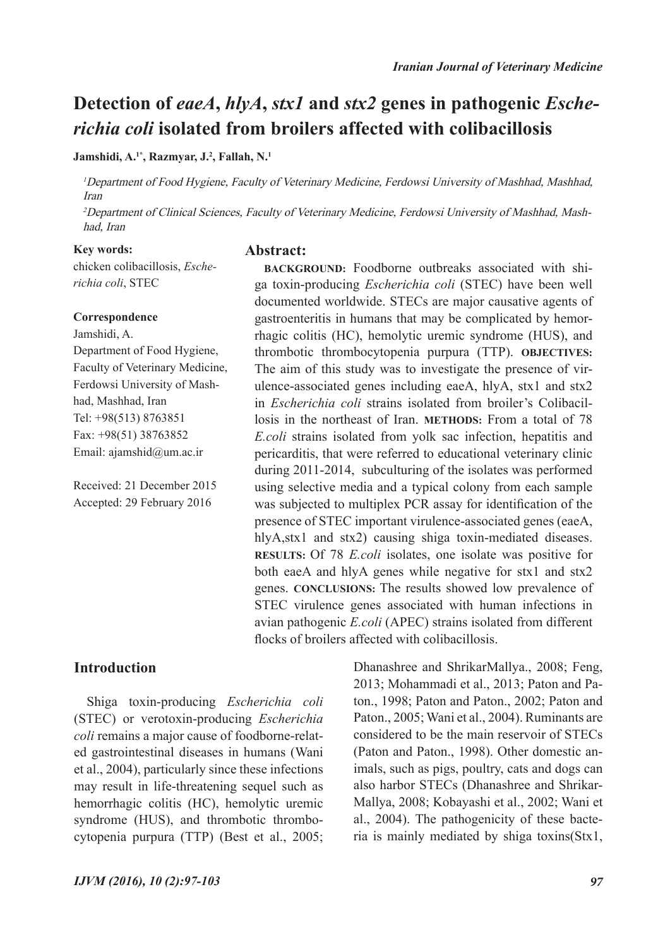## **Detection of** *eaeA***,** *hlyA***,** *stx1* **and** *stx2* **genes in pathogenic** *Escherichia coli* **isolated from broilers affected with colibacillosis**

#### **Jamshidi, A.1\*, Razmyar, J.2 , Fallah, N.1**

<sup>1</sup>Department of Food Hygiene, Faculty of Veterinary Medicine, Ferdowsi University of Mashhad, Mashhad, Iran

<sup>2</sup>Department of Clinical Sciences, Faculty of Veterinary Medicine, Ferdowsi University of Mashhad, Mashhad, Iran

**Abstract:**

#### **Key words:**

chicken colibacillosis, *Escherichia coli*, STEC

#### **Correspondence**

Jamshidi, A. Department of Food Hygiene, Faculty of Veterinary Medicine, Ferdowsi University of Mashhad, Mashhad, Iran Tel: +98(513) 8763851 Fax: +98(51) 38763852 Email: ajamshid@um.ac.ir

Received: 21 December 2015 Accepted: 29 February 2016

ga toxin-producing *Escherichia coli* (STEC) have been well documented worldwide. STECs are major causative agents of gastroenteritis in humans that may be complicated by hemorrhagic colitis (HC), hemolytic uremic syndrome (HUS), and thrombotic thrombocytopenia purpura (TTP). **OBJECTIVES:**  The aim of this study was to investigate the presence of virulence-associated genes including eaeA, hlyA, stx1 and stx2 in *Escherichia coli* strains isolated from broiler's Colibacillosis in the northeast of Iran. **METHODS:** From a total of 78 *E.coli* strains isolated from yolk sac infection, hepatitis and pericarditis, that were referred to educational veterinary clinic during 2011-2014, subculturing of the isolates was performed using selective media and a typical colony from each sample was subjected to multiplex PCR assay for identification of the presence of STEC important virulence-associated genes (eaeA, hlyA, stx1 and stx2) causing shiga toxin-mediated diseases. **RESULTS:** Of 78 *E.coli* isolates, one isolate was positive for both eaeA and hlyA genes while negative for stx1 and stx2 genes. **CONCLUSIONS:** The results showed low prevalence of STEC virulence genes associated with human infections in avian pathogenic *E.coli* (APEC) strains isolated from different flocks of broilers affected with colibacillosis.

**BACKGROUND:** Foodborne outbreaks associated with shi-

## **Introduction**

Shiga toxin-producing *Escherichia coli*  (STEC) or verotoxin-producing *Escherichia coli* remains a major cause of foodborne-related gastrointestinal diseases in humans (Wani et al., 2004), particularly since these infections may result in life-threatening sequel such as hemorrhagic colitis (HC), hemolytic uremic syndrome (HUS), and thrombotic thrombocytopenia purpura (TTP) (Best et al., 2005; Dhanashree and ShrikarMallya., 2008; Feng, 2013; Mohammadi et al., 2013; Paton and Paton., 1998; Paton and Paton., 2002; Paton and Paton., 2005; Wani et al., 2004). Ruminants are considered to be the main reservoir of STECs (Paton and Paton., 1998). Other domestic animals, such as pigs, poultry, cats and dogs can also harbor STECs (Dhanashree and Shrikar-Mallya, 2008; Kobayashi et al., 2002; Wani et al., 2004). The pathogenicity of these bacteria is mainly mediated by shiga toxins(Stx1,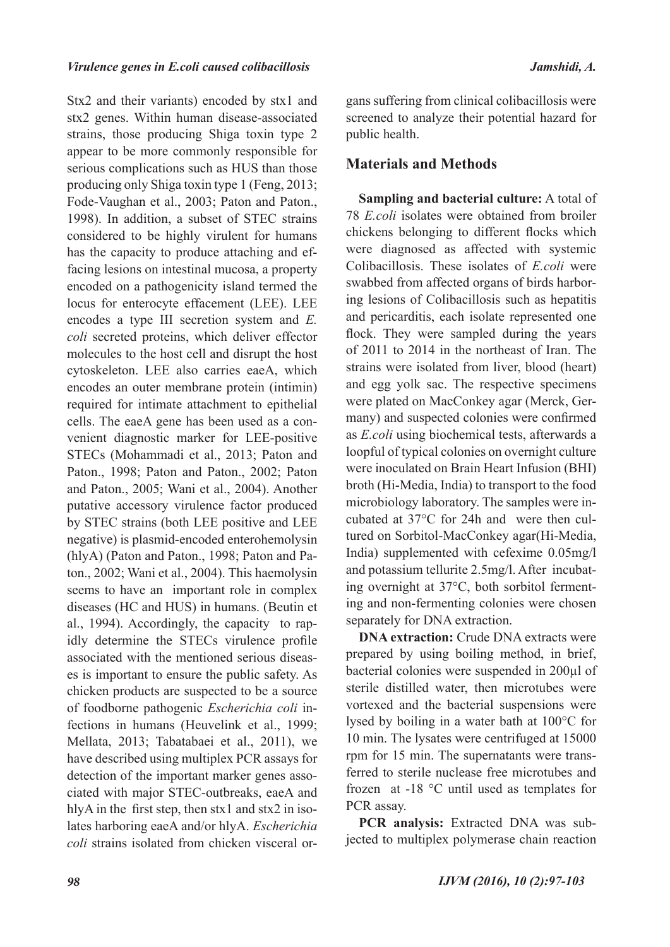Stx2 and their variants) encoded by stx1 and stx2 genes. Within human disease-associated strains, those producing Shiga toxin type 2 appear to be more commonly responsible for serious complications such as HUS than those producing only Shiga toxin type 1 (Feng, 2013; Fode-Vaughan et al., 2003; Paton and Paton., 1998). In addition, a subset of STEC strains considered to be highly virulent for humans has the capacity to produce attaching and effacing lesions on intestinal mucosa, a property encoded on a pathogenicity island termed the locus for enterocyte effacement (LEE). LEE encodes a type III secretion system and *E. coli* secreted proteins, which deliver effector molecules to the host cell and disrupt the host cytoskeleton. LEE also carries eaeA, which encodes an outer membrane protein (intimin) required for intimate attachment to epithelial cells. The eaeA gene has been used as a convenient diagnostic marker for LEE-positive STECs (Mohammadi et al., 2013; Paton and Paton., 1998; Paton and Paton., 2002; Paton and Paton., 2005; Wani et al., 2004). Another putative accessory virulence factor produced by STEC strains (both LEE positive and LEE negative) is plasmid-encoded enterohemolysin (hlyA) (Paton and Paton., 1998; Paton and Paton., 2002; Wani et al., 2004). This haemolysin seems to have an important role in complex diseases (HC and HUS) in humans. (Beutin et al., 1994). Accordingly, the capacity to rapidly determine the STECs virulence profile associated with the mentioned serious diseases is important to ensure the public safety. As chicken products are suspected to be a source of foodborne pathogenic *Escherichia coli* infections in humans (Heuvelink et al., 1999; Mellata, 2013; Tabatabaei et al., 2011), we have described using multiplex PCR assays for detection of the important marker genes associated with major STEC-outbreaks, eaeA and hlyA in the first step, then stx1 and stx2 in isolates harboring eaeA and/or hlyA. *Escherichia coli* strains isolated from chicken visceral organs suffering from clinical colibacillosis were screened to analyze their potential hazard for public health.

## **Materials and Methods**

**Sampling and bacterial culture:** A total of 78 *E.coli* isolates were obtained from broiler chickens belonging to different flocks which were diagnosed as affected with systemic Colibacillosis. These isolates of *E.coli* were swabbed from affected organs of birds harboring lesions of Colibacillosis such as hepatitis and pericarditis, each isolate represented one flock. They were sampled during the years of 2011 to 2014 in the northeast of Iran. The strains were isolated from liver, blood (heart) and egg yolk sac. The respective specimens were plated on MacConkey agar (Merck, Germany) and suspected colonies were confirmed as *E.coli* using biochemical tests, afterwards a loopful of typical colonies on overnight culture were inoculated on Brain Heart Infusion (BHI) broth (Hi-Media, India) to transport to the food microbiology laboratory. The samples were incubated at 37°C for 24h and were then cultured on Sorbitol-MacConkey agar(Hi-Media, India) supplemented with cefexime 0.05mg/l and potassium tellurite 2.5mg/l. After incubating overnight at 37°C, both sorbitol fermenting and non-fermenting colonies were chosen separately for DNA extraction.

**DNA extraction:** Crude DNA extracts were prepared by using boiling method, in brief, bacterial colonies were suspended in 200µl of sterile distilled water, then microtubes were vortexed and the bacterial suspensions were lysed by boiling in a water bath at 100°C for 10 min. The lysates were centrifuged at 15000 rpm for 15 min. The supernatants were transferred to sterile nuclease free microtubes and frozen at -18 °C until used as templates for PCR assay.

**PCR analysis:** Extracted DNA was subjected to multiplex polymerase chain reaction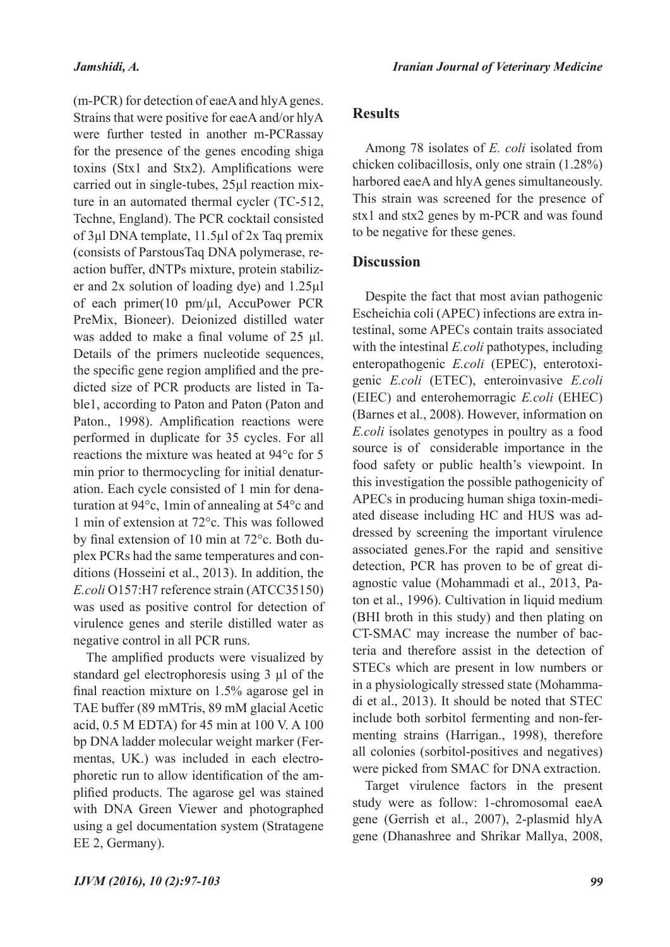(m-PCR) for detection of eaeA and hlyA genes. Strains that were positive for eaeA and/or hlyA were further tested in another m-PCRassay for the presence of the genes encoding shiga toxins (Stx1 and Stx2). Amplifications were carried out in single-tubes, 25µl reaction mixture in an automated thermal cycler (TC-512, Techne, England). The PCR cocktail consisted of 3µl DNA template, 11.5µl of 2x Taq premix (consists of ParstousTaq DNA polymerase, reaction buffer, dNTPs mixture, protein stabilizer and 2x solution of loading dye) and 1.25µl of each primer(10 pm/µl, AccuPower PCR PreMix, Bioneer). Deionized distilled water was added to make a final volume of 25 µl. Details of the primers nucleotide sequences, the specific gene region amplified and the predicted size of PCR products are listed in Table1, according to Paton and Paton (Paton and Paton., 1998). Amplification reactions were performed in duplicate for 35 cycles. For all reactions the mixture was heated at 94°c for 5 min prior to thermocycling for initial denaturation. Each cycle consisted of 1 min for denaturation at 94°c, 1min of annealing at 54°c and 1 min of extension at 72°c. This was followed by final extension of 10 min at 72°c. Both duplex PCRs had the same temperatures and conditions (Hosseini et al., 2013). In addition, the *E.coli* O157:H7 reference strain (ATCC35150) was used as positive control for detection of virulence genes and sterile distilled water as negative control in all PCR runs.

The amplified products were visualized by standard gel electrophoresis using 3 µl of the final reaction mixture on 1.5% agarose gel in TAE buffer (89 mMTris, 89 mM glacial Acetic acid, 0.5 M EDTA) for 45 min at 100 V. A 100 bp DNA ladder molecular weight marker (Fermentas, UK.) was included in each electrophoretic run to allow identification of the amplified products. The agarose gel was stained with DNA Green Viewer and photographed using a gel documentation system (Stratagene EE 2, Germany).

### **Results**

Among 78 isolates of *E. coli* isolated from chicken colibacillosis, only one strain (1.28%) harbored eaeA and hlyA genes simultaneously. This strain was screened for the presence of stx1 and stx2 genes by m-PCR and was found to be negative for these genes.

### **Discussion**

Despite the fact that most avian pathogenic Escheichia coli (APEC) infections are extra intestinal, some APECs contain traits associated with the intestinal *E.coli* pathotypes, including enteropathogenic *E.coli* (EPEC), enterotoxigenic *E.coli* (ETEC), enteroinvasive *E.coli* (EIEC) and enterohemorragic *E.coli* (EHEC) (Barnes et al., 2008). However, information on *E.coli* isolates genotypes in poultry as a food source is of considerable importance in the food safety or public health's viewpoint. In this investigation the possible pathogenicity of APECs in producing human shiga toxin-mediated disease including HC and HUS was addressed by screening the important virulence associated genes.For the rapid and sensitive detection, PCR has proven to be of great diagnostic value (Mohammadi et al., 2013, Paton et al., 1996). Cultivation in liquid medium (BHI broth in this study) and then plating on CT-SMAC may increase the number of bacteria and therefore assist in the detection of STECs which are present in low numbers or in a physiologically stressed state (Mohammadi et al., 2013). It should be noted that STEC include both sorbitol fermenting and non-fermenting strains (Harrigan., 1998), therefore all colonies (sorbitol-positives and negatives) were picked from SMAC for DNA extraction.

Target virulence factors in the present study were as follow: 1-chromosomal eaeA gene (Gerrish et al., 2007), 2-plasmid hlyA gene (Dhanashree and Shrikar Mallya, 2008,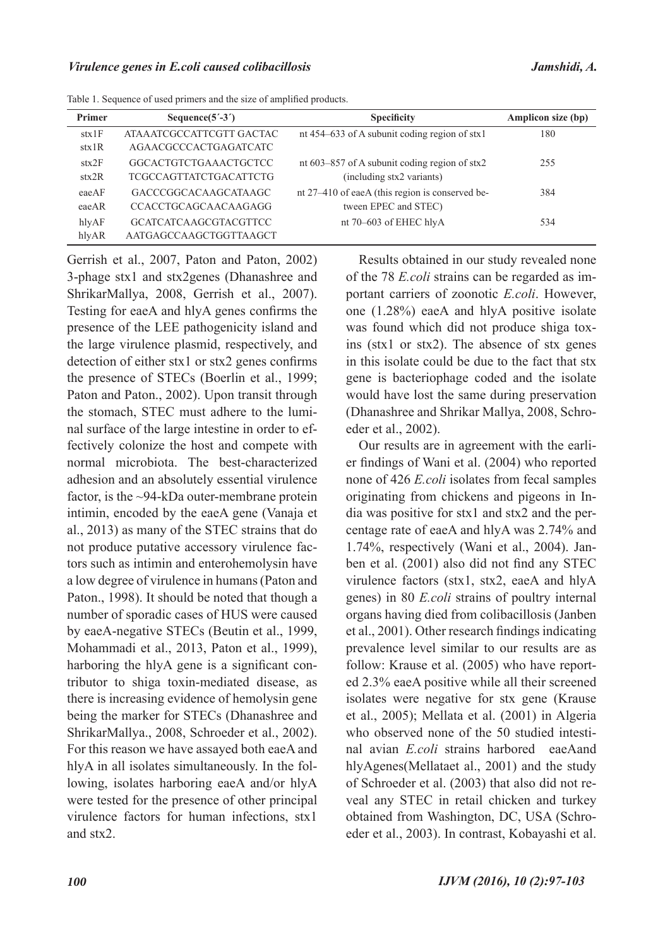| Primer | Sequence $(5^{\prime}$ -3 <sup>'</sup> ) | <b>Specificity</b>                              | Amplicon size (bp) |
|--------|------------------------------------------|-------------------------------------------------|--------------------|
| stx1F  | ATA A ATCGCCATTCGTT GACTAC               | nt 454–633 of A subunit coding region of stx1   | 180                |
| stx1R  | AGAACGCCCACTGAGATCATC                    |                                                 |                    |
| stx2F  | <b>GGCACTGTCTGAAACTGCTCC</b>             | nt 603–857 of A subunit coding region of stx2   | 255                |
| stx2R  | TCGCCAGTTATCTGACATTCTG                   | (including stx2 variants)                       |                    |
| eaeAF  | GACCCGGCACAAGCATAAGC                     | nt 27–410 of eaeA (this region is conserved be- | 384                |
| eaeAR  | CCACCTGCAGCAACAAGAGG                     | tween EPEC and STEC)                            |                    |
| hlyAF  | <b>GCATCATCAAGCGTACGTTCC</b>             | nt 70–603 of EHEC hlyA                          | 534                |
| hlyAR  | AATGAGCCAAGCTGGTTAAGCT                   |                                                 |                    |

Table 1. Sequence of used primers and the size of amplified products.

Gerrish et al., 2007, Paton and Paton, 2002) 3-phage stx1 and stx2genes (Dhanashree and ShrikarMallya, 2008, Gerrish et al., 2007). Testing for eaeA and hlyA genes confirms the presence of the LEE pathogenicity island and the large virulence plasmid, respectively, and detection of either stx1 or stx2 genes confirms the presence of STECs (Boerlin et al., 1999; Paton and Paton., 2002). Upon transit through the stomach, STEC must adhere to the luminal surface of the large intestine in order to effectively colonize the host and compete with normal microbiota. The best-characterized adhesion and an absolutely essential virulence factor, is the ~94-kDa outer-membrane protein intimin, encoded by the eaeA gene (Vanaja et al., 2013) as many of the STEC strains that do not produce putative accessory virulence factors such as intimin and enterohemolysin have a low degree of virulence in humans (Paton and Paton., 1998). It should be noted that though a number of sporadic cases of HUS were caused by eaeA-negative STECs (Beutin et al., 1999, Mohammadi et al., 2013, Paton et al., 1999), harboring the hlyA gene is a significant contributor to shiga toxin-mediated disease, as there is increasing evidence of hemolysin gene being the marker for STECs (Dhanashree and ShrikarMallya., 2008, Schroeder et al., 2002). For this reason we have assayed both eaeA and hlyA in all isolates simultaneously. In the following, isolates harboring eaeA and/or hlyA were tested for the presence of other principal virulence factors for human infections, stx1 and stx2.

Results obtained in our study revealed none of the 78 *E.coli* strains can be regarded as important carriers of zoonotic *E.coli*. However, one (1.28%) eaeA and hlyA positive isolate was found which did not produce shiga toxins (stx1 or stx2). The absence of stx genes in this isolate could be due to the fact that stx gene is bacteriophage coded and the isolate would have lost the same during preservation (Dhanashree and Shrikar Mallya, 2008, Schroeder et al., 2002).

Our results are in agreement with the earlier findings of Wani et al. (2004) who reported none of 426 *E.coli* isolates from fecal samples originating from chickens and pigeons in India was positive for stx1 and stx2 and the percentage rate of eaeA and hlyA was 2.74% and 1.74%, respectively (Wani et al., 2004). Janben et al. (2001) also did not find any STEC virulence factors (stx1, stx2, eaeA and hlyA genes) in 80 *E.coli* strains of poultry internal organs having died from colibacillosis (Janben et al., 2001). Other research findings indicating prevalence level similar to our results are as follow: Krause et al. (2005) who have reported 2.3% eaeA positive while all their screened isolates were negative for stx gene (Krause et al., 2005); Mellata et al. (2001) in Algeria who observed none of the 50 studied intestinal avian *E.coli* strains harbored eaeAand hlyAgenes(Mellataet al., 2001) and the study of Schroeder et al. (2003) that also did not reveal any STEC in retail chicken and turkey obtained from Washington, DC, USA (Schroeder et al., 2003). In contrast, Kobayashi et al.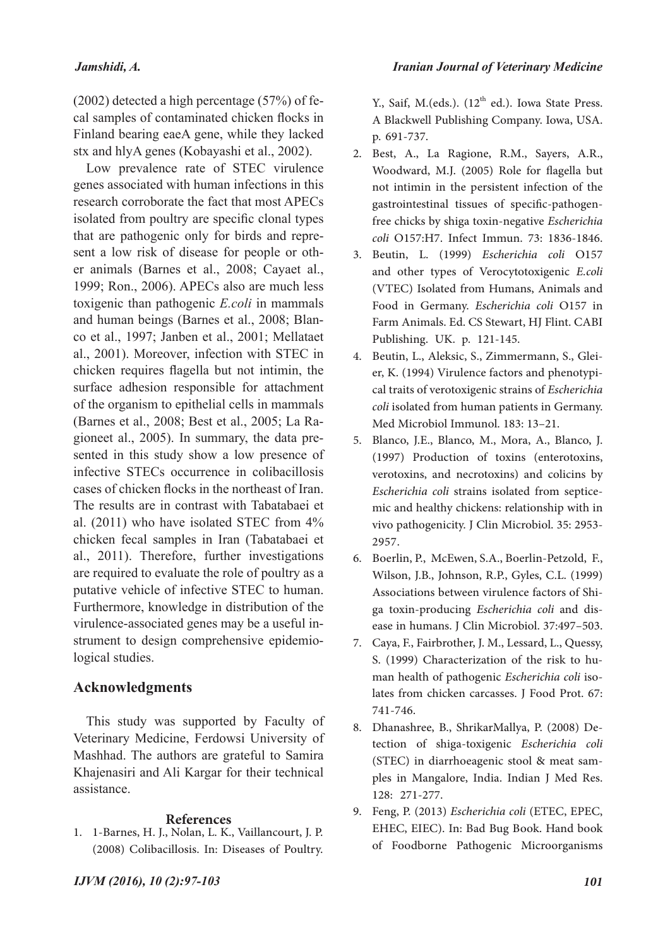## *Jamshidi, A.*

(2002) detected a high percentage (57%) of fecal samples of contaminated chicken flocks in Finland bearing eaeA gene, while they lacked stx and hlyA genes (Kobayashi et al., 2002).

Low prevalence rate of STEC virulence genes associated with human infections in this research corroborate the fact that most APECs isolated from poultry are specific clonal types that are pathogenic only for birds and represent a low risk of disease for people or other animals (Barnes et al., 2008; Cayaet al., 1999; Ron., 2006). APECs also are much less toxigenic than pathogenic *E.coli* in mammals and human beings (Barnes et al., 2008; Blanco et al., 1997; Janben et al., 2001; Mellataet al., 2001). Moreover, infection with STEC in chicken requires flagella but not intimin, the surface adhesion responsible for attachment of the organism to epithelial cells in mammals (Barnes et al., 2008; Best et al., 2005; La Ragioneet al., 2005). In summary, the data presented in this study show a low presence of infective STECs occurrence in colibacillosis cases of chicken flocks in the northeast of Iran. The results are in contrast with Tabatabaei et al. (2011) who have isolated STEC from 4% chicken fecal samples in Iran (Tabatabaei et al., 2011). Therefore, further investigations are required to evaluate the role of poultry as a putative vehicle of infective STEC to human. Furthermore, knowledge in distribution of the virulence-associated genes may be a useful instrument to design comprehensive epidemiological studies.

## **Acknowledgments**

This study was supported by Faculty of Veterinary Medicine, Ferdowsi University of Mashhad. The authors are grateful to Samira Khajenasiri and Ali Kargar for their technical assistance.

#### **References**

1. 1-Barnes, H. J., Nolan, L. K., Vaillancourt, J. P. (2008) Colibacillosis. In: Diseases of Poultry.

Y., Saif, M.(eds.).  $(12<sup>th</sup>$  ed.). Iowa State Press. A Blackwell Publishing Company. Iowa, USA. p. 691-737.

- Best, A., La Ragione, R.M., Sayers, A.R., 2. Woodward, M.J. (2005) Role for flagella but not intimin in the persistent infection of the gastrointestinal tissues of specific-pathogenfree chicks by shiga toxin-negative *Escherichia coli* O157:H7. Infect Immun. 73: 1836-1846.
- Beutin, L. (1999) *Escherichia coli* O157 3. and other types of Verocytotoxigenic *E.coli*  (VTEC) Isolated from Humans, Animals and Food in Germany. *Escherichia coli* O157 in Farm Animals. Ed. CS Stewart, HJ Flint. CABI Publishing. UK. p. 121-145.
- er, K. (1994) Virulence factors and phenotypi-<br>cal traits of verotoxigenic strains of *Escherichia coli* isolated from human patients in Germany. Med Microbiol Immunol. 183: 13–21. 4. Beutin, L., Aleksic, S., Zimmermann, S., Glei-
- Blanco, J.E., Blanco, M., Mora, A., Blanco, J. 5. (1997) Production of toxins (enterotoxins, verotoxins, and necrotoxins) and colicins by *Escherichia coli* strains isolated from septice- mic and healthy chickens: relationship with in vivo pathogenicity. J Clin Microbiol. 35: 2953- 2957.
- Boerlin, P., McEwen, S.A., Boerlin-Petzold, F., 6. Wilson, J.B., Johnson, R.P., Gyles, C.L. (1999) Associations between virulence factors of Shi- ga toxin-producing *Escherichia coli* and dis- ease in humans. J Clin Microbiol. 37:497–503.
- Caya, F., Fairbrother, J. M., Lessard, L., Quessy, 7. S. (1999) Characterization of the risk to hu- man health of pathogenic *Escherichia coli* iso- lates from chicken carcasses. J Food Prot. 67: 741-746.
- tection of shiga-toxigenic *Escherichia coli* (STEC) in diarrhoeagenic stool & meat sam- ples in Mangalore, India. Indian J Med Res. 128: 271-277. 8. Dhanashree, B., ShrikarMallya, P. (2008) De-
- Feng, P. (2013) *Escherichia coli* (ETEC, EPEC, 9. EHEC, EIEC). In: Bad Bug Book. Hand book of Foodborne Pathogenic Microorganisms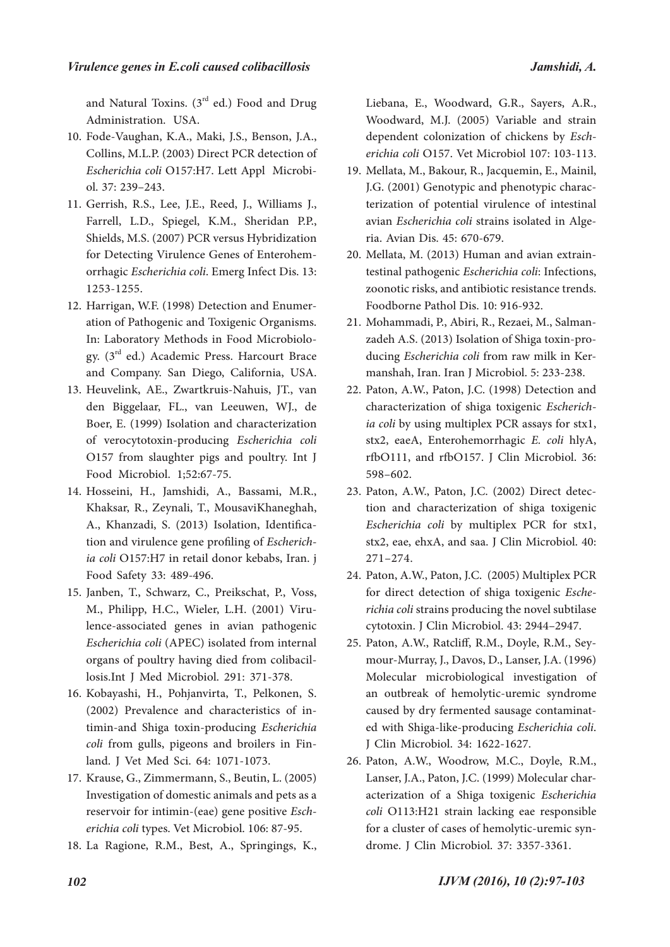and Natural Toxins.  $(3<sup>rd</sup>$  ed.) Food and Drug Administration. USA.

- Fode-Vaughan, K.A., Maki, J.S., Benson, J.A., 10. Collins, M.L.P. (2003) Direct PCR detection of *Escherichia coli* O157:H7. Lett Appl Microbi- ol. 37: 239–243.
- 11. Gerrish, R.S., Lee, J.E., Reed, J., Williams J., Farrell, L.D., Spiegel, K.M., Sheridan P.P., Shields, M.S. (2007) PCR versus Hybridization for Detecting Virulence Genes of Enterohem- orrhagic *Escherichia coli*. Emerg Infect Dis. 13: 1253-1255.
- ation of Pathogenic and Toxigenic Organisms.<br>In: Laboratory Methods in Food Microbiology.  $(3<sup>rd</sup>$  ed.) Academic Press. Harcourt Brace and Company. San Diego, California, USA. 12. Harrigan, W.F. (1998) Detection and Enumer-
- Heuvelink, AE., Zwartkruis-Nahuis, JT., van 13. den Biggelaar, FL., van Leeuwen, WJ., de Boer, E. (1999) Isolation and characterization of verocytotoxin-producing *Escherichia coli*  O157 from slaughter pigs and poultry. Int J Food Microbiol. 1;52:67-75.
- 14. Hosseini, H., Jamshidi, A., Bassami, M.R., Khaksar, R., Zeynali, T., MousaviKhaneghah, A., Khanzadi, S. (2013) Isolation, Identification and virulence gene profiling of *Escherichia coli* O157:H7 in retail donor kebabs, Iran. j Food Safety 33: 489-496.
- 15. Janben, T., Schwarz, C., Preikschat, P., Voss, M., Philipp, H.C., Wieler, L.H. (2001) Viru- lence-associated genes in avian pathogenic *Escherichia coli* (APEC) isolated from internal organs of poultry having died from colibacil- losis.Int J Med Microbiol. 291: 371-378.
- 16. Kobayashi, H., Pohjanvirta, T., Pelkonen, S. (2002) Prevalence and characteristics of in- timin-and Shiga toxin-producing *Escherichia coli* from gulls, pigeons and broilers in Fin- land. J Vet Med Sci. 64: 1071-1073.
- 17. Krause, G., Zimmermann, S., Beutin, L. (2005) Investigation of domestic animals and pets as a reservoir for intimin-(eae) gene positive *Esch� erichia coli* types. Vet Microbiol. 106: 87-95.
- La Ragione, R.M., Best, A., Springings, K., 18.

Liebana, E., Woodward, G.R., Sayers, A.R., Woodward, M.J. (2005) Variable and strain dependent colonization of chickens by *Esch� erichia coli* O157. Vet Microbiol 107: 103-113.

- Mellata, M., Bakour, R., Jacquemin, E., Mainil, 19. J.G. (2001) Genotypic and phenotypic charac- terization of potential virulence of intestinal avian *Escherichia coli* strains isolated in Alge- ria. Avian Dis. 45: 670-679.
- testinal pathogenic *Escherichia coli*: Infections, zoonotic risks, and antibiotic resistance trends. Foodborne Pathol Dis. 10: 916-932. 20. Mellata, M. (2013) Human and avian extrain-
- 21. Mohammadi, P., Abiri, R., Rezaei, M., Salman-<br>zadeh A.S. (2013) Isolation of Shiga toxin-pro-<br>ducing *Escherichia coli* from raw milk in Ker-<br>manshah, Iran. Iran J Microbiol. 5: 233-238.
- 22. Paton, A.W., Paton, J.C. (1998) Detection and characterization of shiga toxigenic *Escherichia coli* by using multiplex PCR assays for stx1, stx2, eaeA, Enterohemorrhagic *E. coli* hlyA, rfbO111, and rfbO157. J Clin Microbiol. 36: 598–602.
- Paton, A.W., Paton, J.C. (2002) Direct detec- tion and characterization of shiga toxigenic 23. *Escherichia coli* by multiplex PCR for stx1, stx2, eae, ehxA, and saa. J Clin Microbiol. 40: 271–274.
- 24. Paton, A.W., Paton, J.C. (2005) Multiplex PCR for direct detection of shiga toxigenic *Esche� richia coli* strains producing the novel subtilase cytotoxin. J Clin Microbiol. 43: 2944–2947.
- mour-Murray, J., Davos, D., Lanser, J.A. (1996) Molecular microbiological investigation of an outbreak of hemolytic-uremic syndrome caused by dry fermented sausage contaminat- ed with Shiga-like-producing *Escherichia coli*. J Clin Microbiol. 34: 1622-1627. 25. Paton, A.W., Ratcliff, R.M., Doyle, R.M., Sey-
- 26. Paton, A.W., Woodrow, M.C., Doyle, R.M., Lanser, J.A., Paton, J.C. (1999) Molecular char- acterization of a Shiga toxigenic *Escherichia coli* O113:H21 strain lacking eae responsible for a cluster of cases of hemolytic-uremic syn- drome. J Clin Microbiol. 37: 3357-3361.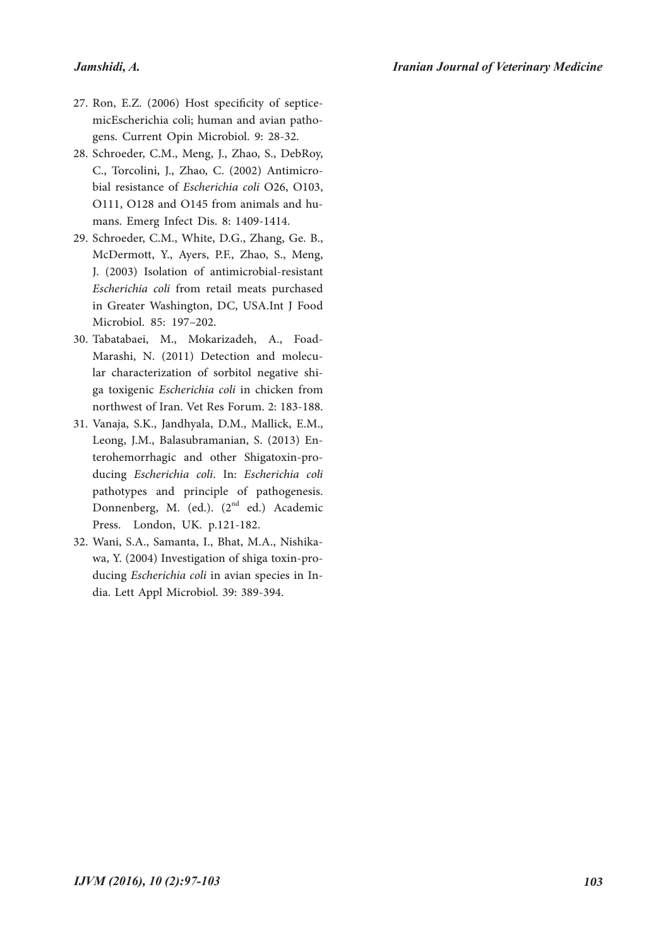#### *Jamshidi, A.*

- 27. Ron, E.Z. (2006) Host specificity of septice-<br>micEscherichia coli; human and avian patho-<br>gens. Current Opin Microbiol. 9: 28-32.
- 28. Schroeder, C.M., Meng, J., Zhao, S., DebRoy, C., Torcolini, J., Zhao, C. (2002) Antimicro- bial resistance of *Escherichia coli* O26, O103, O111, O128 and O145 from animals and hu- mans. Emerg Infect Dis. 8: 1409-1414.
- 29. Schroeder, C.M., White, D.G., Zhang, Ge. B., McDermott, Y., Ayers, P.F., Zhao, S., Meng, J. (2003) Isolation of antimicrobial-resistant *Escherichia coli* from retail meats purchased in Greater Washington, DC, USA.Int J Food Microbiol. 85: 197–202.
- Tabatabaei, M., Mokarizadeh, A., Foad-30. Marashi, N. (2011) Detection and molecu- lar characterization of sorbitol negative shi- ga toxigenic *Escherichia coli* in chicken from northwest of Iran. Vet Res Forum. 2: 183-188.
- Vanaja, S.K., Jandhyala, D.M., Mallick, E.M., 31. Leong, J.M., Balasubramanian, S. (2013) En- terohemorrhagic and other Shigatoxin-pro- ducing *Escherichia coli*. In: *Escherichia coli*  pathotypes and principle of pathogenesis. Donnenberg, M. (ed.). (2<sup>nd</sup> ed.) Academic Press. London, UK. p.121-182.
- Wani, S.A., Samanta, I., Bhat, M.A., Nishika- wa, Y. (2004) Investigation of shiga toxin-pro- ducing *Escherichia coli* in avian species in In- dia. Lett Appl Microbiol. 39: 389-394. 32.